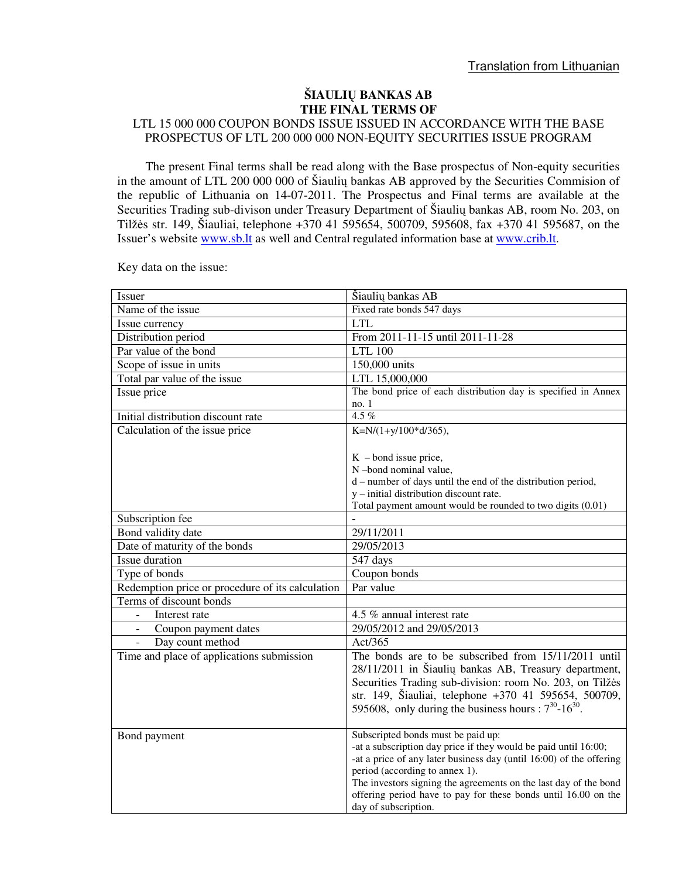## **ŠIAULI**Ų **BANKAS AB THE FINAL TERMS OF**

## LTL 15 000 000 COUPON BONDS ISSUE ISSUED IN ACCORDANCE WITH THE BASE PROSPECTUS OF LTL 200 000 000 NON-EQUITY SECURITIES ISSUE PROGRAM

The present Final terms shall be read along with the Base prospectus of Non-equity securities in the amount of LTL 200 000 000 of Šiaulių bankas AB approved by the Securities Commision of the republic of Lithuania on 14-07-2011. The Prospectus and Final terms are available at the Securities Trading sub-divison under Treasury Department of Šiaulių bankas AB, room No. 203, on Tilžės str. 149, Šiauliai, telephone +370 41 595654, 500709, 595608, fax +370 41 595687, on the Issuer's website www.sb.lt as well and Central regulated information base at www.crib.lt.

| Issuer                                           | Šiaulių bankas AB                                                                                  |  |
|--------------------------------------------------|----------------------------------------------------------------------------------------------------|--|
| Name of the issue                                | Fixed rate bonds 547 days                                                                          |  |
| Issue currency                                   | <b>LTL</b>                                                                                         |  |
| Distribution period                              | From 2011-11-15 until 2011-11-28                                                                   |  |
| Par value of the bond                            | <b>LTL 100</b>                                                                                     |  |
| Scope of issue in units                          | 150,000 units                                                                                      |  |
| Total par value of the issue                     | LTL 15,000,000                                                                                     |  |
| Issue price                                      | The bond price of each distribution day is specified in Annex                                      |  |
|                                                  | no. 1                                                                                              |  |
| Initial distribution discount rate               | 4.5%                                                                                               |  |
| Calculation of the issue price                   | K=N/ $(1+y/100*d/365)$ ,                                                                           |  |
|                                                  |                                                                                                    |  |
|                                                  | $K$ – bond issue price,                                                                            |  |
|                                                  | N-bond nominal value,                                                                              |  |
|                                                  | d – number of days until the end of the distribution period,                                       |  |
|                                                  | y - initial distribution discount rate.                                                            |  |
|                                                  | Total payment amount would be rounded to two digits (0.01)                                         |  |
| Subscription fee                                 |                                                                                                    |  |
| Bond validity date                               | 29/11/2011                                                                                         |  |
| Date of maturity of the bonds                    | 29/05/2013                                                                                         |  |
| Issue duration                                   | 547 days                                                                                           |  |
| Type of bonds                                    | Coupon bonds                                                                                       |  |
| Redemption price or procedure of its calculation | Par value                                                                                          |  |
| Terms of discount bonds                          |                                                                                                    |  |
| Interest rate                                    | 4.5 % annual interest rate                                                                         |  |
| Coupon payment dates                             | 29/05/2012 and 29/05/2013                                                                          |  |
| Day count method                                 | Act/365                                                                                            |  |
| Time and place of applications submission        | The bonds are to be subscribed from 15/11/2011 until                                               |  |
|                                                  | 28/11/2011 in Šiaulių bankas AB, Treasury department,                                              |  |
|                                                  | Securities Trading sub-division: room No. 203, on Tilžės                                           |  |
|                                                  | str. 149, Šiauliai, telephone +370 41 595654, 500709,                                              |  |
|                                                  | 595608, only during the business hours : $7^{30}$ -16 <sup>30</sup> .                              |  |
|                                                  |                                                                                                    |  |
| Bond payment                                     | Subscripted bonds must be paid up:                                                                 |  |
|                                                  | -at a subscription day price if they would be paid until 16:00;                                    |  |
|                                                  | -at a price of any later business day (until 16:00) of the offering                                |  |
|                                                  | period (according to annex 1).<br>The investors signing the agreements on the last day of the bond |  |
|                                                  | offering period have to pay for these bonds until 16.00 on the                                     |  |
|                                                  | day of subscription.                                                                               |  |

Key data on the issue: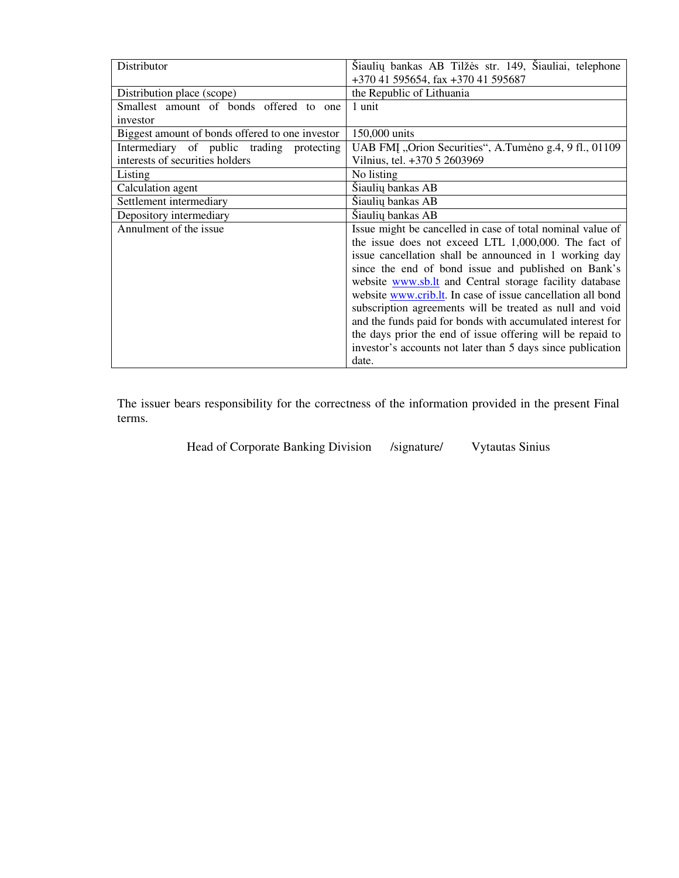| Distributor                                     | Šiaulių bankas AB Tilžės str. 149, Šiauliai, telephone<br>+370 41 595654, fax +370 41 595687 |  |
|-------------------------------------------------|----------------------------------------------------------------------------------------------|--|
| Distribution place (scope)                      | the Republic of Lithuania                                                                    |  |
| Smallest amount of bonds offered to one         | 1 unit                                                                                       |  |
| investor                                        |                                                                                              |  |
| Biggest amount of bonds offered to one investor | 150,000 units                                                                                |  |
| Intermediary of public trading protecting       | UAB FMI, Orion Securities", A.Tumeno g.4, 9 fl., 01109                                       |  |
| interests of securities holders                 | Vilnius, tel. +370 5 2603969                                                                 |  |
| Listing                                         | No listing                                                                                   |  |
| Calculation agent                               | Šiaulių bankas AB                                                                            |  |
| Šiaulių bankas AB<br>Settlement intermediary    |                                                                                              |  |
| Depository intermediary                         | Šiaulių bankas AB                                                                            |  |
| Annulment of the issue                          | Issue might be cancelled in case of total nominal value of                                   |  |
|                                                 | the issue does not exceed LTL 1,000,000. The fact of                                         |  |
|                                                 | issue cancellation shall be announced in 1 working day                                       |  |
|                                                 | since the end of bond issue and published on Bank's                                          |  |
|                                                 | website www.sb.lt and Central storage facility database                                      |  |
|                                                 | website www.crib.lt. In case of issue cancellation all bond                                  |  |
|                                                 | subscription agreements will be treated as null and void                                     |  |
|                                                 | and the funds paid for bonds with accumulated interest for                                   |  |
|                                                 | the days prior the end of issue offering will be repaid to                                   |  |
|                                                 | investor's accounts not later than 5 days since publication                                  |  |
|                                                 | date.                                                                                        |  |

The issuer bears responsibility for the correctness of the information provided in the present Final terms.

Head of Corporate Banking Division /signature/ Vytautas Sinius